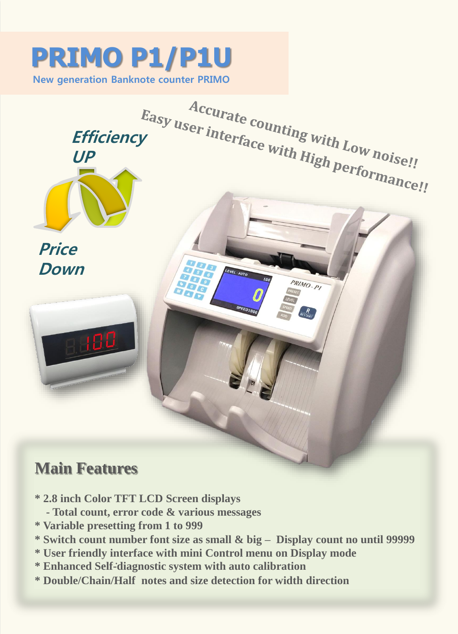## **PRIMO P1/P1U**

**New generation Banknote counter PRIMO**



- **\* 2.8 inch Color TFT LCD Screen displays** 
	- **- Total count, error code & various messages**
- **\* Variable presetting from 1 to 999**
- **\* Switch count number font size as small & big – Display count no until 99999**
- **\* User friendly interface with mini Control menu on Display mode**
- **\* Enhanced Self -diagnostic system with auto calibration**
- **\* Double/Chain/Half notes and size detection for width direction**